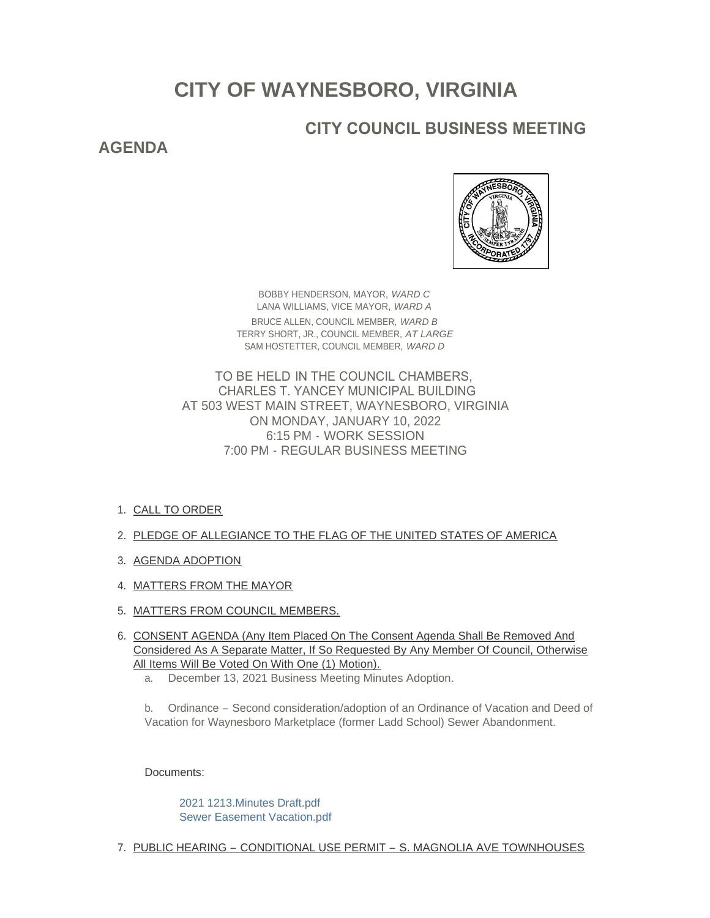# **CITY OF WAYNESBORO, VIRGINIA**

## **CITY COUNCIL BUSINESS MEETING**

### **AGENDA**



BOBBY HENDERSON, MAYOR, *WARD C* LANA WILLIAMS, VICE MAYOR, *WARD A* BRUCE ALLEN, COUNCIL MEMBER, *WARD B* TERRY SHORT, JR., COUNCIL MEMBER, *AT LARGE* SAM HOSTETTER, COUNCIL MEMBER, *WARD D*

TO BE HELD IN THE COUNCIL CHAMBERS, CHARLES T. YANCEY MUNICIPAL BUILDING AT 503 WEST MAIN STREET, WAYNESBORO, VIRGINIA ON MONDAY, JANUARY 10, 2022 6:15 PM - WORK SESSION 7:00 PM - REGULAR BUSINESS MEETING

- 1. <u>CALL TO ORDER</u>
- 2. PLEDGE OF ALLEGIANCE TO THE FLAG OF THE UNITED STATES OF AMERICA
- 3. AGENDA ADOPTION
- 4. MATTERS FROM THE MAYOR
- 5. <u>MATTERS FROM COUNCIL MEMBERS.</u>
- 6. CONSENT AGENDA (Any Item Placed On The Consent Agenda Shall Be Removed And Considered As A Separate Matter, If So Requested By Any Member Of Council, Otherwise All Items Will Be Voted On With One (1) Motion).
	- a. December 13, 2021 Business Meeting Minutes Adoption.

b. Ordinance – Second consideration/adoption of an Ordinance of Vacation and Deed of Vacation for Waynesboro Marketplace (former Ladd School) Sewer Abandonment.

Documents:

[2021 1213.Minutes Draft.pdf](https://www.waynesboro.va.us/AgendaCenter/ViewFile/Item/4553?fileID=43083) [Sewer Easement Vacation.pdf](https://www.waynesboro.va.us/AgendaCenter/ViewFile/Item/4553?fileID=43084)

7. <u>PUBLIC HEARING – CONDITIONAL USE PERMIT – S. MAGNOLIA AVE TOWNHOUSES</u>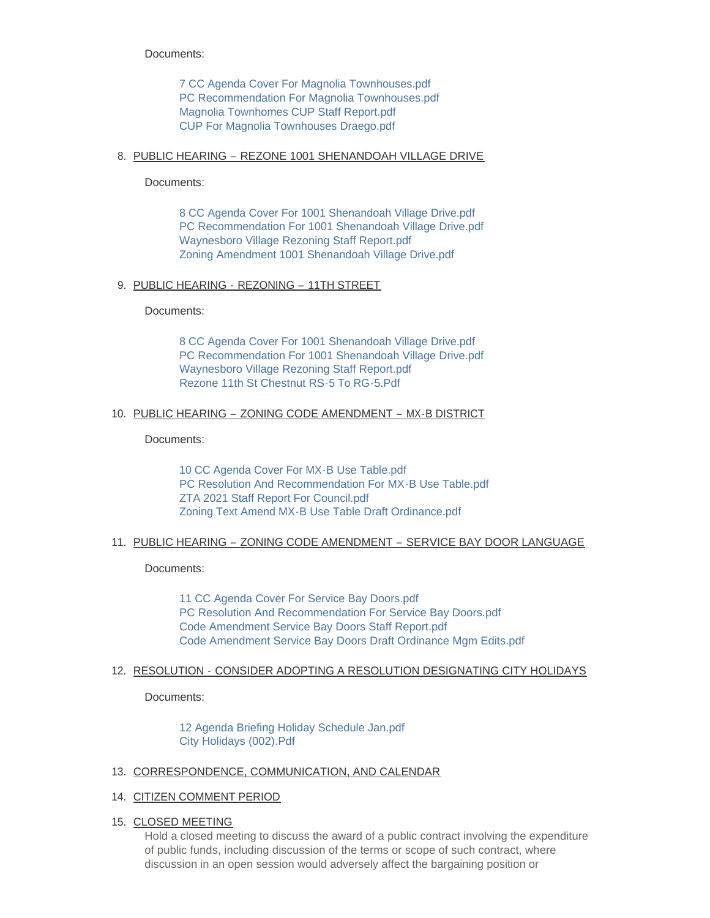Documents:

[7 CC Agenda Cover For Magnolia Townhouses.pdf](https://www.waynesboro.va.us/AgendaCenter/ViewFile/Item/4554?fileID=43085) [PC Recommendation For Magnolia Townhouses.pdf](https://www.waynesboro.va.us/AgendaCenter/ViewFile/Item/4554?fileID=43087) [Magnolia Townhomes CUP Staff Report.pdf](https://www.waynesboro.va.us/AgendaCenter/ViewFile/Item/4554?fileID=43086) [CUP For Magnolia Townhouses Draego.pdf](https://www.waynesboro.va.us/AgendaCenter/ViewFile/Item/4554?fileID=43088)

#### 8. PUBLIC HEARING – REZONE 1001 SHENANDOAH VILLAGE DRIVE

Documents:

[8 CC Agenda Cover For 1001 Shenandoah Village Drive.pdf](https://www.waynesboro.va.us/AgendaCenter/ViewFile/Item/4555?fileID=43089) [PC Recommendation For 1001 Shenandoah Village Drive.pdf](https://www.waynesboro.va.us/AgendaCenter/ViewFile/Item/4555?fileID=43090) [Waynesboro Village Rezoning Staff Report.pdf](https://www.waynesboro.va.us/AgendaCenter/ViewFile/Item/4555?fileID=43091) [Zoning Amendment 1001 Shenandoah Village Drive.pdf](https://www.waynesboro.va.us/AgendaCenter/ViewFile/Item/4555?fileID=43092)

#### 9. PUBLIC HEARING - REZONING – 11TH STREET

Documents:

[8 CC Agenda Cover For 1001 Shenandoah Village Drive.pdf](https://www.waynesboro.va.us/AgendaCenter/ViewFile/Item/4556?fileID=43094) [PC Recommendation For 1001 Shenandoah Village Drive.pdf](https://www.waynesboro.va.us/AgendaCenter/ViewFile/Item/4556?fileID=43095) [Waynesboro Village Rezoning Staff Report.pdf](https://www.waynesboro.va.us/AgendaCenter/ViewFile/Item/4556?fileID=43096) [Rezone 11th St Chestnut RS-5 To RG-5.Pdf](https://www.waynesboro.va.us/AgendaCenter/ViewFile/Item/4556?fileID=43093)

#### 10. PUBLIC HEARING - ZONING CODE AMENDMENT - MX-B DISTRICT

Documents:

[10 CC Agenda Cover For MX-B Use Table.pdf](https://www.waynesboro.va.us/AgendaCenter/ViewFile/Item/4557?fileID=43097) [PC Resolution And Recommendation For MX-B Use Table.pdf](https://www.waynesboro.va.us/AgendaCenter/ViewFile/Item/4557?fileID=43098) [ZTA 2021 Staff Report For Council.pdf](https://www.waynesboro.va.us/AgendaCenter/ViewFile/Item/4557?fileID=43099) [Zoning Text Amend MX-B Use Table Draft Ordinance.pdf](https://www.waynesboro.va.us/AgendaCenter/ViewFile/Item/4557?fileID=43100)

#### 11. PUBLIC HEARING – ZONING CODE AMENDMENT – SERVICE BAY DOOR LANGUAGE

Documents:

[11 CC Agenda Cover For Service Bay Doors.pdf](https://www.waynesboro.va.us/AgendaCenter/ViewFile/Item/4558?fileID=43102) [PC Resolution And Recommendation For Service Bay Doors.pdf](https://www.waynesboro.va.us/AgendaCenter/ViewFile/Item/4558?fileID=43103) [Code Amendment Service Bay Doors Staff Report.pdf](https://www.waynesboro.va.us/AgendaCenter/ViewFile/Item/4558?fileID=43104) [Code Amendment Service Bay Doors Draft Ordinance Mgm Edits.pdf](https://www.waynesboro.va.us/AgendaCenter/ViewFile/Item/4558?fileID=43101)

#### 12. RESOLUTION - CONSIDER ADOPTING A RESOLUTION DESIGNATING CITY HOLIDAYS

Documents:

[12 Agenda Briefing Holiday Schedule Jan.pdf](https://www.waynesboro.va.us/AgendaCenter/ViewFile/Item/4559?fileID=43105) [City Holidays \(002\).Pdf](https://www.waynesboro.va.us/AgendaCenter/ViewFile/Item/4559?fileID=43106)

#### 13. CORRESPONDENCE, COMMUNICATION, AND CALENDAR

- 14. CITIZEN COMMENT PERIOD
- 15. CLOSED MEETING

Hold a closed meeting to discuss the award of a public contract involving the expenditure of public funds, including discussion of the terms or scope of such contract, where discussion in an open session would adversely affect the bargaining position or